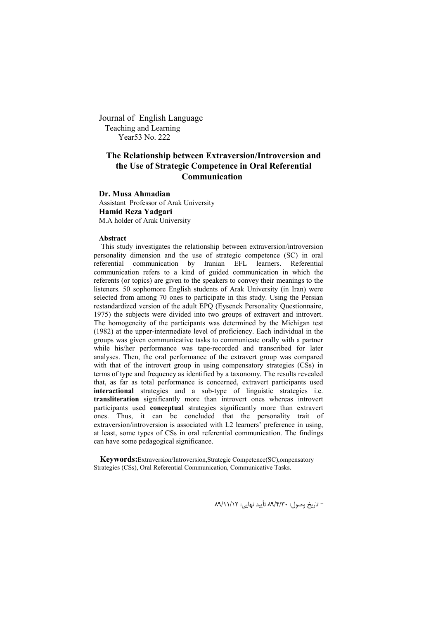Journal of English Language Teaching and Learning Year53 No. 222

# **The Relationship between Extraversion/Introversion and the Use of Strategic Competence in Oral Referential Communication**

**Dr. Musa Ahmadian** Assistant Professor of Arak University **Hamid Reza Yadgari** M.A holder of Arak University

### **Abstract**

 This study investigates the relationship between extraversion/introversion personality dimension and the use of strategic competence (SC) in oral referential communication by Iranian EFL learners. Referential communication refers to a kind of guided communication in which the referents (or topics) are given to the speakers to convey their meanings to the listeners. 50 sophomore English students of Arak University (in Iran) were selected from among 70 ones to participate in this study. Using the Persian restandardized version of the adult EPQ (Eysenck Personality Questionnaire, 1975) the subjects were divided into two groups of extravert and introvert. The homogeneity of the participants was determined by the Michigan test (1982) at the upper-intermediate level of proficiency. Each individual in the groups was given communicative tasks to communicate orally with a partner while his/her performance was tape-recorded and transcribed for later analyses. Then, the oral performance of the extravert group was compared with that of the introvert group in using compensatory strategies (CSs) in terms of type and frequency as identified by a taxonomy. The results revealed that, as far as total performance is concerned, extravert participants used **interactional** strategies and a sub-type of linguistic strategies i.e. **transliteration** significantly more than introvert ones whereas introvert participants used **conceptual** strategies significantly more than extravert ones. Thus, it can be concluded that the personality trait of extraversion/introversion is associated with L2 learners' preference in using, at least, some types of CSs in oral referential communication. The findings can have some pedagogical significance.

 **Keywords:**Extraversion/Introversion,Strategic Competence(SC),ompensatory Strategies (CSs), Oral Referential Communication, Communicative Tasks.

تاریخ وصول : <sup>30</sup> /4/ <sup>89</sup> تأیید نهایی: 89/11/12 \_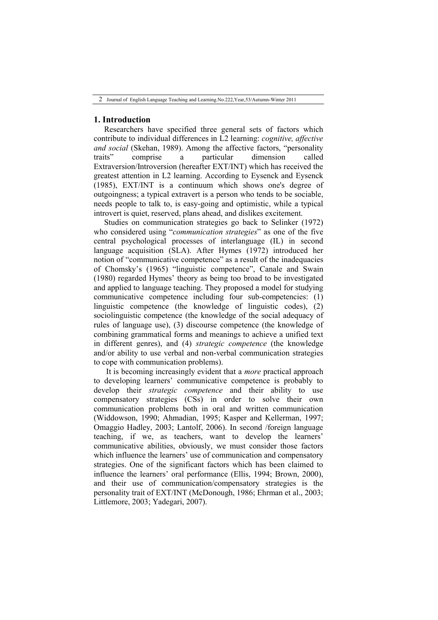### **1. Introduction**

Researchers have specified three general sets of factors which contribute to individual differences in L2 learning: *cognitive, affective and social* (Skehan, 1989). Among the affective factors, "personality traits" comprise a particular dimension called Extraversion/Introversion (hereafter EXT/INT) which has received the greatest attention in L2 learning. According to Eysenck and Eysenck (1985), EXT/INT is a continuum which shows one's degree of outgoingness; a typical extravert is a person who tends to be sociable, needs people to talk to, is easy-going and optimistic, while a typical introvert is quiet, reserved, plans ahead, and dislikes excitement.

Studies on communication strategies go back to Selinker (1972) who considered using "*communication strategies*" as one of the five central psychological processes of interlanguage (IL) in second language acquisition (SLA). After Hymes (1972) introduced her notion of "communicative competence" as a result of the inadequacies of Chomsky's (1965) "linguistic competence", Canale and Swain (1980) regarded Hymes' theory as being too broad to be investigated and applied to language teaching. They proposed a model for studying communicative competence including four sub-competencies: (1) linguistic competence (the knowledge of linguistic codes), (2) sociolinguistic competence (the knowledge of the social adequacy of rules of language use), (3) discourse competence (the knowledge of combining grammatical forms and meanings to achieve a unified text in different genres), and (4) *strategic competence* (the knowledge and/or ability to use verbal and non-verbal communication strategies to cope with communication problems).

It is becoming increasingly evident that a *more* practical approach to developing learners' communicative competence is probably to develop their *strategic competence* and their ability to use compensatory strategies (CSs) in order to solve their own communication problems both in oral and written communication (Widdowson, 1990; Ahmadian, 1995; Kasper and Kellerman, 1997; Omaggio Hadley, 2003; Lantolf, 2006). In second /foreign language teaching, if we, as teachers, want to develop the learners' communicative abilities, obviously, we must consider those factors which influence the learners' use of communication and compensatory strategies. One of the significant factors which has been claimed to influence the learners' oral performance (Ellis, 1994; Brown, 2000), and their use of communication/compensatory strategies is the personality trait of EXT/INT (McDonough, 1986; Ehrman et al., 2003; Littlemore, 2003; Yadegari, 2007).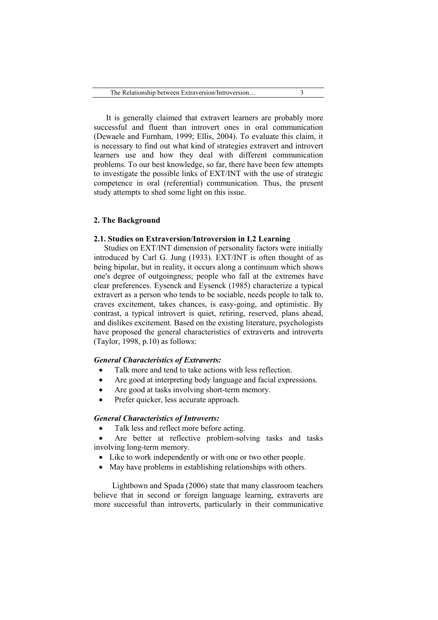It is generally claimed that extravert learners are probably more successful and fluent than introvert ones in oral communication (Dewaele and Furnham, 1999; Ellis, 2004). To evaluate this claim, it is necessary to find out what kind of strategies extravert and introvert learners use and how they deal with different communication problems. To our best knowledge, so far, there have been few attempts to investigate the possible links of EXT/INT with the use of strategic competence in oral (referential) communication. Thus, the present study attempts to shed some light on this issue.

### **2. The Background**

#### **2.1. Studies on Extraversion/Introversion in L2 Learning**

Studies on EXT/INT dimension of personality factors were initially introduced by Carl G. Jung (1933). EXT/INT is often thought of as being bipolar, but in reality, it occurs along a continuum which shows one's degree of outgoingness; people who fall at the extremes have clear preferences. Eysenck and Eysenck (1985) characterize a typical extravert as a person who tends to be sociable, needs people to talk to, craves excitement, takes chances, is easy-going, and optimistic. By contrast, a typical introvert is quiet, retiring, reserved, plans ahead, and dislikes excitement. Based on the existing literature, psychologists have proposed the general characteristics of extraverts and introverts (Taylor, 1998, p.10) as follows:

### *General Characteristics of Extraverts:*

- Talk more and tend to take actions with less reflection.
- Are good at interpreting body language and facial expressions.
- Are good at tasks involving short-term memory.
- Prefer quicker, less accurate approach.

### *General Characteristics of Introverts:*

Talk less and reflect more before acting.

 Are better at reflective problem-solving tasks and tasks involving long-term memory.

- Like to work independently or with one or two other people.
- May have problems in establishing relationships with others.

 Lightbown and Spada (2006) state that many classroom teachers believe that in second or foreign language learning, extraverts are more successful than introverts, particularly in their communicative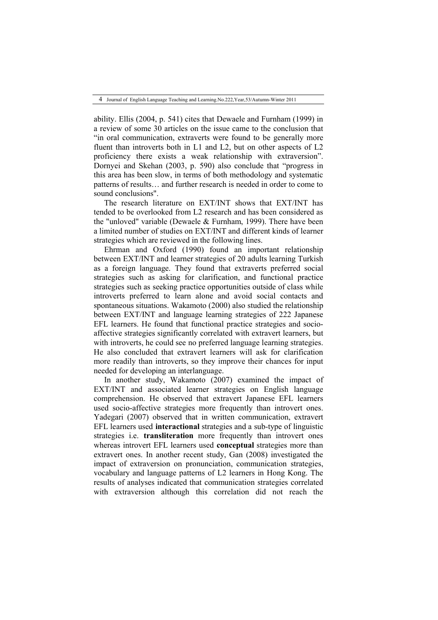4 Journal of English Language Teaching and Learning.No.222,Year,53/Autumn-Winter 2011

ability. Ellis (2004, p. 541) cites that Dewaele and Furnham (1999) in a review of some 30 articles on the issue came to the conclusion that "in oral communication, extraverts were found to be generally more fluent than introverts both in L1 and L2, but on other aspects of L2 proficiency there exists a weak relationship with extraversion". Dornyei and Skehan (2003, p. 590) also conclude that "progress in this area has been slow, in terms of both methodology and systematic patterns of results… and further research is needed in order to come to sound conclusions".

The research literature on EXT/INT shows that EXT/INT has tended to be overlooked from L2 research and has been considered as the "unloved" variable (Dewaele & Furnham, 1999). There have been a limited number of studies on EXT/INT and different kinds of learner strategies which are reviewed in the following lines.

Ehrman and Oxford (1990) found an important relationship between EXT/INT and learner strategies of 20 adults learning Turkish as a foreign language. They found that extraverts preferred social strategies such as asking for clarification, and functional practice strategies such as seeking practice opportunities outside of class while introverts preferred to learn alone and avoid social contacts and spontaneous situations. Wakamoto (2000) also studied the relationship between EXT/INT and language learning strategies of 222 Japanese EFL learners. He found that functional practice strategies and socioaffective strategies significantly correlated with extravert learners, but with introverts, he could see no preferred language learning strategies. He also concluded that extravert learners will ask for clarification more readily than introverts, so they improve their chances for input needed for developing an interlanguage.

In another study, Wakamoto (2007) examined the impact of EXT/INT and associated learner strategies on English language comprehension. He observed that extravert Japanese EFL learners used socio-affective strategies more frequently than introvert ones. Yadegari (2007) observed that in written communication, extravert EFL learners used **interactional** strategies and a sub-type of linguistic strategies i.e. **transliteration** more frequently than introvert ones whereas introvert EFL learners used **conceptual** strategies more than extravert ones. In another recent study, Gan (2008) investigated the impact of extraversion on pronunciation, communication strategies, vocabulary and language patterns of L2 learners in Hong Kong. The results of analyses indicated that communication strategies correlated with extraversion although this correlation did not reach the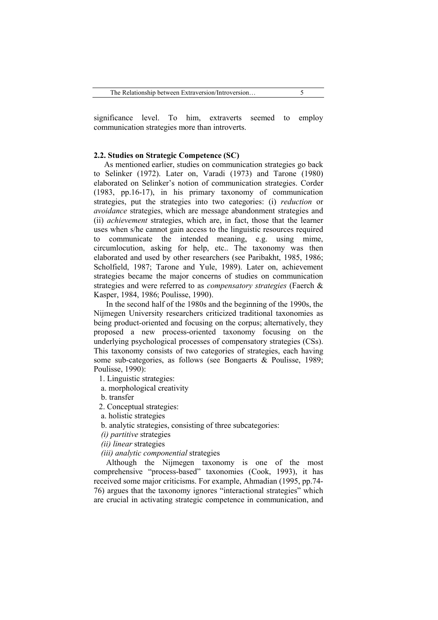significance level. To him, extraverts seemed to employ communication strategies more than introverts.

# **2.2. Studies on Strategic Competence (SC)**

As mentioned earlier, studies on communication strategies go back to Selinker (1972). Later on, Varadi (1973) and Tarone (1980) elaborated on Selinker's notion of communication strategies. Corder (1983, pp.16-17), in his primary taxonomy of communication strategies, put the strategies into two categories: (i) *reduction* or *avoidance* strategies, which are message abandonment strategies and (ii) *achievement* strategies, which are, in fact, those that the learner uses when s/he cannot gain access to the linguistic resources required to communicate the intended meaning, e.g. using mime, circumlocution, asking for help, etc.. The taxonomy was then elaborated and used by other researchers (see Paribakht, 1985, 1986; Scholfield, 1987; Tarone and Yule, 1989). Later on, achievement strategies became the major concerns of studies on communication strategies and were referred to as *compensatory strategies* (Faerch & Kasper, 1984, 1986; Poulisse, 1990).

In the second half of the 1980s and the beginning of the 1990s, the Nijmegen University researchers criticized traditional taxonomies as being product-oriented and focusing on the corpus; alternatively, they proposed a new process-oriented taxonomy focusing on the underlying psychological processes of compensatory strategies (CSs). This taxonomy consists of two categories of strategies, each having some sub-categories, as follows (see Bongaerts & Poulisse, 1989; Poulisse, 1990):

1. Linguistic strategies:

a. morphological creativity

b. transfer

2. Conceptual strategies:

a. holistic strategies

b. analytic strategies, consisting of three subcategories:

*(i) partitive* strategies

*(ii) linear* strategies

*(iii) analytic componential* strategies

Although the Nijmegen taxonomy is one of the most comprehensive "process-based" taxonomies (Cook, 1993), it has received some major criticisms. For example, Ahmadian (1995, pp.74- 76) argues that the taxonomy ignores "interactional strategies" which are crucial in activating strategic competence in communication, and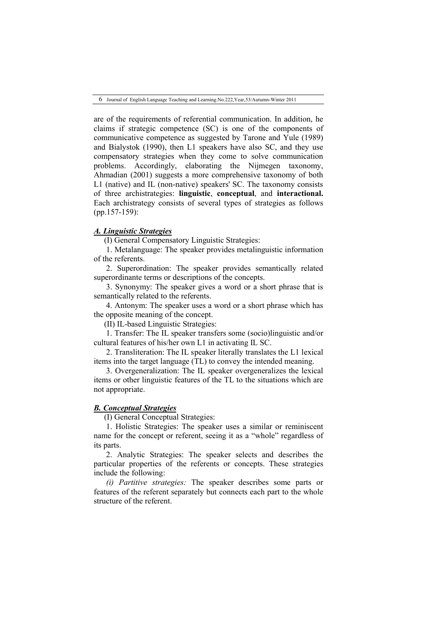6 Journal of English Language Teaching and Learning.No.222,Year,53/Autumn-Winter 2011

are of the requirements of referential communication. In addition, he claims if strategic competence (SC) is one of the components of communicative competence as suggested by Tarone and Yule (1989) and Bialystok (1990), then L1 speakers have also SC, and they use compensatory strategies when they come to solve communication problems. Accordingly, elaborating the Nijmegen taxonomy, Ahmadian (2001) suggests a more comprehensive taxonomy of both L1 (native) and IL (non-native) speakers' SC. The taxonomy consists of three archistrategies: **linguistic**, **conceptual**, and **interactional.**  Each archistrategy consists of several types of strategies as follows (pp.157-159):

# *A. Linguistic Strategies*

(I) General Compensatory Linguistic Strategies:

1. Metalanguage: The speaker provides metalinguistic information of the referents.

2. Superordination: The speaker provides semantically related superordinante terms or descriptions of the concepts.

3. Synonymy: The speaker gives a word or a short phrase that is semantically related to the referents.

4. Antonym: The speaker uses a word or a short phrase which has the opposite meaning of the concept.

(II) IL-based Linguistic Strategies:

1. Transfer: The IL speaker transfers some (socio)linguistic and/or cultural features of his/her own L1 in activating IL SC.

2. Transliteration: The IL speaker literally translates the L1 lexical items into the target language (TL) to convey the intended meaning.

3. Overgeneralization: The IL speaker overgeneralizes the lexical items or other linguistic features of the TL to the situations which are not appropriate.

# *B. Conceptual Strategies*

(I) General Conceptual Strategies:

1. Holistic Strategies: The speaker uses a similar or reminiscent name for the concept or referent, seeing it as a "whole" regardless of its parts.

2. Analytic Strategies: The speaker selects and describes the particular properties of the referents or concepts. These strategies include the following:

*(i) Partitive strategies:* The speaker describes some parts or features of the referent separately but connects each part to the whole structure of the referent.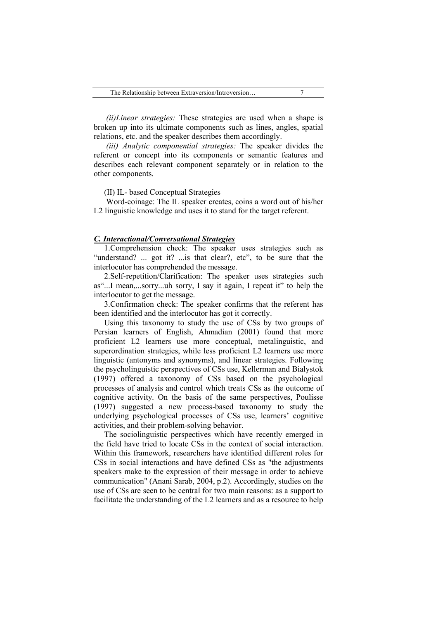*(ii)Linear strategies:* These strategies are used when a shape is broken up into its ultimate components such as lines, angles, spatial relations, etc. and the speaker describes them accordingly.

*(iii) Analytic componential strategies:* The speaker divides the referent or concept into its components or semantic features and describes each relevant component separately or in relation to the other components.

(II) IL- based Conceptual Strategies

Word-coinage: The IL speaker creates, coins a word out of his/her L2 linguistic knowledge and uses it to stand for the target referent.

#### *C. Interactional/Conversational Strategies*

1.Comprehension check: The speaker uses strategies such as "understand? ... got it? ...is that clear?, etc", to be sure that the interlocutor has comprehended the message.

2.Self-repetition/Clarification: The speaker uses strategies such as"...I mean,...sorry...uh sorry, I say it again, I repeat it" to help the interlocutor to get the message.

3.Confirmation check: The speaker confirms that the referent has been identified and the interlocutor has got it correctly.

Using this taxonomy to study the use of CSs by two groups of Persian learners of English, Ahmadian (2001) found that more proficient L2 learners use more conceptual, metalinguistic, and superordination strategies, while less proficient L2 learners use more linguistic (antonyms and synonyms), and linear strategies. Following the psycholinguistic perspectives of CSs use, Kellerman and Bialystok (1997) offered a taxonomy of CSs based on the psychological processes of analysis and control which treats CSs as the outcome of cognitive activity. On the basis of the same perspectives, Poulisse (1997) suggested a new process-based taxonomy to study the underlying psychological processes of CSs use, learners' cognitive activities, and their problem-solving behavior.

The sociolinguistic perspectives which have recently emerged in the field have tried to locate CSs in the context of social interaction. Within this framework, researchers have identified different roles for CSs in social interactions and have defined CSs as "the adjustments speakers make to the expression of their message in order to achieve communication" (Anani Sarab, 2004, p.2). Accordingly, studies on the use of CSs are seen to be central for two main reasons: as a support to facilitate the understanding of the L2 learners and as a resource to help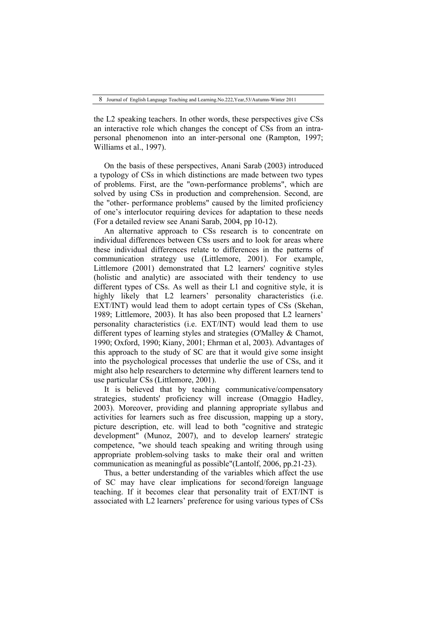the L2 speaking teachers. In other words, these perspectives give CSs an interactive role which changes the concept of CSs from an intrapersonal phenomenon into an inter-personal one (Rampton, 1997; Williams et al., 1997).

On the basis of these perspectives, Anani Sarab (2003) introduced a typology of CSs in which distinctions are made between two types of problems. First, are the "own-performance problems", which are solved by using CSs in production and comprehension. Second, are the "other- performance problems" caused by the limited proficiency of one's interlocutor requiring devices for adaptation to these needs (For a detailed review see Anani Sarab, 2004, pp 10-12).

An alternative approach to CSs research is to concentrate on individual differences between CSs users and to look for areas where these individual differences relate to differences in the patterns of communication strategy use (Littlemore, 2001). For example, Littlemore (2001) demonstrated that L2 learners' cognitive styles (holistic and analytic) are associated with their tendency to use different types of CSs. As well as their L1 and cognitive style, it is highly likely that L2 learners' personality characteristics (i.e. EXT/INT) would lead them to adopt certain types of CSs (Skehan, 1989; Littlemore, 2003). It has also been proposed that L2 learners' personality characteristics (i.e. EXT/INT) would lead them to use different types of learning styles and strategies (O'Malley & Chamot, 1990; Oxford, 1990; Kiany, 2001; Ehrman et al, 2003). Advantages of this approach to the study of SC are that it would give some insight into the psychological processes that underlie the use of CSs, and it might also help researchers to determine why different learners tend to use particular CSs (Littlemore, 2001).

It is believed that by teaching communicative/compensatory strategies, students' proficiency will increase (Omaggio Hadley, 2003). Moreover, providing and planning appropriate syllabus and activities for learners such as free discussion, mapping up a story, picture description, etc. will lead to both "cognitive and strategic development" (Munoz, 2007), and to develop learners' strategic competence, "we should teach speaking and writing through using appropriate problem-solving tasks to make their oral and written communication as meaningful as possible"(Lantolf, 2006, pp.21-23).

Thus, a better understanding of the variables which affect the use of SC may have clear implications for second/foreign language teaching. If it becomes clear that personality trait of EXT/INT is associated with L2 learners' preference for using various types of CSs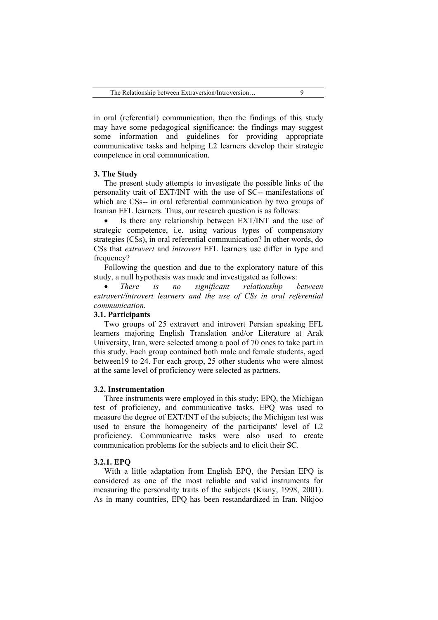in oral (referential) communication, then the findings of this study may have some pedagogical significance: the findings may suggest some information and guidelines for providing appropriate communicative tasks and helping L2 learners develop their strategic competence in oral communication.

### **3. The Study**

The present study attempts to investigate the possible links of the personality trait of EXT/INT with the use of SC-- manifestations of which are CSs-- in oral referential communication by two groups of Iranian EFL learners. Thus, our research question is as follows:

 Is there any relationship between EXT/INT and the use of strategic competence, i.e. using various types of compensatory strategies (CSs), in oral referential communication? In other words, do CSs that *extravert* and *introvert* EFL learners use differ in type and frequency?

Following the question and due to the exploratory nature of this study, a null hypothesis was made and investigated as follows:

 *There is no significant relationship between extravert/introvert learners and the use of CSs in oral referential communication.*

### **3.1. Participants**

Two groups of 25 extravert and introvert Persian speaking EFL learners majoring English Translation and/or Literature at Arak University, Iran, were selected among a pool of 70 ones to take part in this study. Each group contained both male and female students, aged between19 to 24. For each group, 25 other students who were almost at the same level of proficiency were selected as partners.

#### **3.2. Instrumentation**

Three instruments were employed in this study: EPQ, the Michigan test of proficiency, and communicative tasks. EPQ was used to measure the degree of EXT/INT of the subjects; the Michigan test was used to ensure the homogeneity of the participants' level of L2 proficiency. Communicative tasks were also used to create communication problems for the subjects and to elicit their SC.

#### **3.2.1. EPQ**

With a little adaptation from English EPQ, the Persian EPQ is considered as one of the most reliable and valid instruments for measuring the personality traits of the subjects (Kiany, 1998, 2001). As in many countries, EPQ has been restandardized in Iran. Nikjoo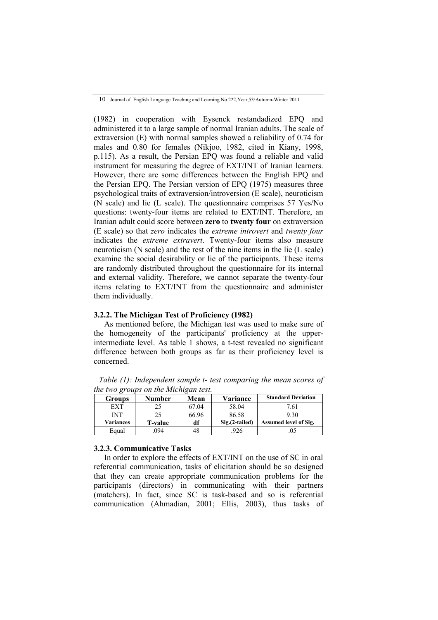10 Journal of English Language Teaching and Learning.No.222,Year,53/Autumn-Winter 2011

(1982) in cooperation with Eysenck restandadized EPQ and administered it to a large sample of normal Iranian adults. The scale of extraversion (E) with normal samples showed a reliability of 0.74 for males and 0.80 for females (Nikjoo, 1982, cited in Kiany, 1998, p.115). As a result, the Persian EPQ was found a reliable and valid instrument for measuring the degree of EXT/INT of Iranian learners. However, there are some differences between the English EPQ and the Persian EPQ. The Persian version of EPQ (1975) measures three psychological traits of extraversion/introversion (E scale), neuroticism (N scale) and lie (L scale). The questionnaire comprises 57 Yes/No questions: twenty-four items are related to EXT/INT. Therefore, an Iranian adult could score between **zero** to **twenty four** on extraversion (E scale) so that *zero* indicates the *extreme introvert* and *twenty four* indicates the *extreme extravert*. Twenty-four items also measure neuroticism (N scale) and the rest of the nine items in the lie (L scale) examine the social desirability or lie of the participants. These items are randomly distributed throughout the questionnaire for its internal and external validity. Therefore, we cannot separate the twenty-four items relating to EXT/INT from the questionnaire and administer them individually.

#### **3.2.2. The Michigan Test of Proficiency (1982)**

As mentioned before, the Michigan test was used to make sure of the homogeneity of the participants' proficiency at the upperintermediate level. As table 1 shows, a t-test revealed no significant difference between both groups as far as their proficiency level is concerned.

| $\mu$ and $\mu$ of $\mu$ and $\mu$ and $\mu$ and $\mu$ and $\mu$<br>Groups | Number  | Mean  | Variance         | <b>Standard Deviation</b> |
|----------------------------------------------------------------------------|---------|-------|------------------|---------------------------|
| EXT                                                                        |         | 67.04 | 58.04            | 7.61                      |
| INT                                                                        |         | 66.96 | 86.58            | 9.30                      |
| Variances                                                                  | T-value | df    | $Sig.(2-tailed)$ | Assumed level of Sig.     |
| Equal                                                                      | 094     |       | 926              |                           |

*Table (1): Independent sample t- test comparing the mean scores of the two groups on the Michigan test.*

#### **3.2.3. Communicative Tasks**

In order to explore the effects of EXT/INT on the use of SC in oral referential communication, tasks of elicitation should be so designed that they can create appropriate communication problems for the participants (directors) in communicating with their partners (matchers). In fact, since SC is task-based and so is referential communication (Ahmadian, 2001; Ellis, 2003), thus tasks of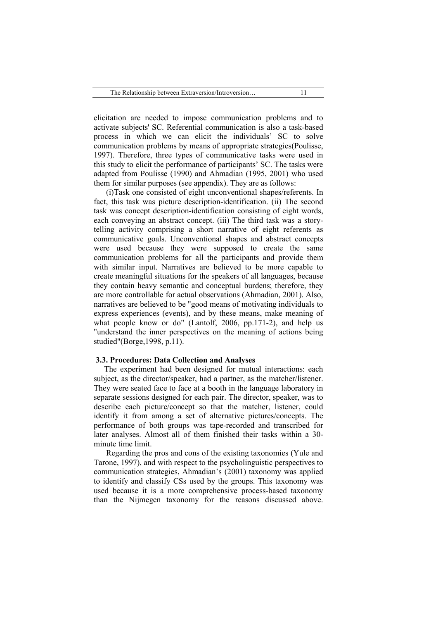elicitation are needed to impose communication problems and to activate subjects' SC. Referential communication is also a task-based process in which we can elicit the individuals' SC to solve communication problems by means of appropriate strategies(Poulisse, 1997). Therefore, three types of communicative tasks were used in this study to elicit the performance of participants' SC. The tasks were adapted from Poulisse (1990) and Ahmadian (1995, 2001) who used them for similar purposes (see appendix). They are as follows:

(i)Task one consisted of eight unconventional shapes/referents. In fact, this task was picture description-identification. (ii) The second task was concept description-identification consisting of eight words, each conveying an abstract concept. (iii) The third task was a storytelling activity comprising a short narrative of eight referents as communicative goals. Unconventional shapes and abstract concepts were used because they were supposed to create the same communication problems for all the participants and provide them with similar input. Narratives are believed to be more capable to create meaningful situations for the speakers of all languages, because they contain heavy semantic and conceptual burdens; therefore, they are more controllable for actual observations (Ahmadian, 2001). Also, narratives are believed to be "good means of motivating individuals to express experiences (events), and by these means, make meaning of what people know or do" (Lantolf, 2006, pp.171-2), and help us "understand the inner perspectives on the meaning of actions being studied"(Borge,1998, p.11).

#### **3.3. Procedures: Data Collection and Analyses**

The experiment had been designed for mutual interactions: each subject, as the director/speaker, had a partner, as the matcher/listener. They were seated face to face at a booth in the language laboratory in separate sessions designed for each pair. The director, speaker, was to describe each picture/concept so that the matcher, listener, could identify it from among a set of alternative pictures/concepts. The performance of both groups was tape-recorded and transcribed for later analyses. Almost all of them finished their tasks within a 30 minute time limit.

Regarding the pros and cons of the existing taxonomies (Yule and Tarone, 1997), and with respect to the psycholinguistic perspectives to communication strategies, Ahmadian's (2001) taxonomy was applied to identify and classify CSs used by the groups. This taxonomy was used because it is a more comprehensive process-based taxonomy than the Nijmegen taxonomy for the reasons discussed above.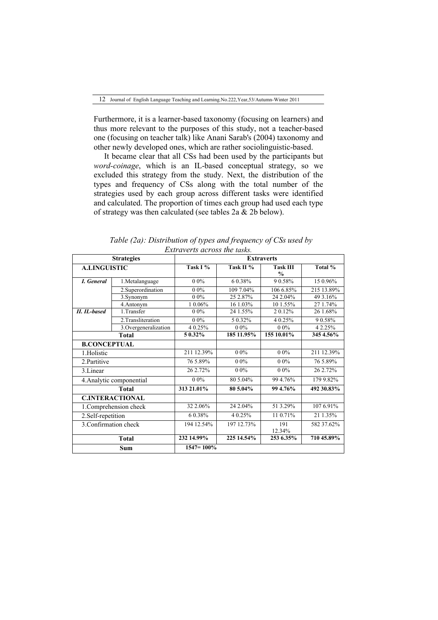Furthermore, it is a learner-based taxonomy (focusing on learners) and thus more relevant to the purposes of this study, not a teacher-based one (focusing on teacher talk) like Anani Sarab's (2004) taxonomy and other newly developed ones, which are rather sociolinguistic-based.

It became clear that all CSs had been used by the participants but *word-coinage*, which is an IL-based conceptual strategy, so we excluded this strategy from the study. Next, the distribution of the types and frequency of CSs along with the total number of the strategies used by each group across different tasks were identified and calculated. The proportion of times each group had used each type of strategy was then calculated (see tables  $2a \& 2b$  below).

| <b>Strategies</b>        |                       | <b>Extraverts</b> |            |                                  |            |
|--------------------------|-----------------------|-------------------|------------|----------------------------------|------------|
| <b>A.LINGUISTIC</b>      |                       | Task I %          | Task II %  | <b>Task III</b><br>$\frac{0}{0}$ | Total %    |
| <b>I.</b> General        | 1. Metalanguage       | $0.0\%$           | 60.38%     | 90.58%                           | 15 0.96%   |
|                          | 2. Superordination    | $0.0\%$           | 109 7.04%  | 106 6.85%                        | 215 13.89% |
|                          | 3.Synonym             | $0.0\%$           | 25 2.87%   | 24 2.04%                         | 49 3.16%   |
|                          | 4. Antonym            | $10.06\%$         | 16 1.03%   | 10 1.55%                         | 27 1.74%   |
| <b>II. IL-based</b>      | 1. Transfer           | $0.0\%$           | 24 1.55%   | 20.12%                           | 26 1.68%   |
|                          | 2. Transliteration    | $0.0\%$           | 5 0.32%    | 4 0.25%                          | 90.58%     |
|                          | 3. Overgeneralization | 4 0.25%           | $0.0\%$    | $0.0\%$                          | 4 2.25%    |
| <b>Total</b>             |                       | 50.32%            | 185 11.95% | 155 10.01%                       | 345 4.56%  |
| <b>B.CONCEPTUAL</b>      |                       |                   |            |                                  |            |
| 1.Holistic               |                       | 211 12.39%        | $0.0\%$    | $0.0\%$                          | 211 12.39% |
| 2. Partitive             |                       | 76 5.89%          | $0.0\%$    | $0.0\%$                          | 76 5.89%   |
| 3.Linear                 |                       | 26 2.72%          | $0.0\%$    | $0.0\%$                          | 26 2.72%   |
| 4. Analytic componential |                       | $0.0\%$           | 80 5.04%   | 99 4.76%                         | 179 9.82%  |
| <b>Total</b>             |                       | 313 21.01%        | 80 5.04%   | 99 4.76%                         | 492 30.83% |
| <b>C.INTERACTIONAL</b>   |                       |                   |            |                                  |            |
| 1. Comprehension check   |                       | 32 2.06%          | 24 2.04%   | 51 3.29%                         | 107 6.91%  |
| 2.Self-repetition        |                       | 60.38%            | 4 0.25%    | 11 0.71%                         | 21 1.35%   |
| 3. Confirmation check    |                       | 194 12.54%        | 197 12.73% | 191<br>12.34%                    | 582 37.62% |
| <b>Total</b>             |                       | 232 14.99%        | 225 14.54% | 253 6.35%                        | 710 45.89% |
| Sum                      |                       | $1547 = 100\%$    |            |                                  |            |

*Table (2a): Distribution of types and frequency of CSs used by Extraverts across the tasks.*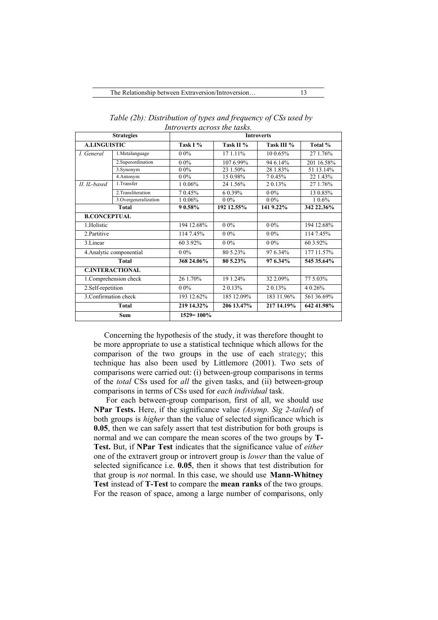*Table (2b): Distribution of types and frequency of CSs used by Introverts across the tasks.*

| <b>Strategies</b>        |                       | <b>Introverts</b> |            |            |            |
|--------------------------|-----------------------|-------------------|------------|------------|------------|
| <b>A.LINGUISTIC</b>      |                       | Task I %          | Task II %  | Task III % | Total %    |
| I. General               | 1.Metalanguage        | $0.0\%$           | 17 1.11%   | $100.65\%$ | 27 1.76%   |
|                          | 2. Superordination    | $0.0\%$           | 107 6.99%  | 94 6.14%   | 201 16.58% |
|                          | 3.Synonym             | $0.0\%$           | 23 1.50%   | 28 1.83%   | 51 13.14%  |
|                          | 4.Antonym             | $0.0\%$           | 15 0.98%   | 70.45%     | 22 1.43%   |
| II. II.-based            | 1. Transfer           | 1 0.06%           | 24 1.56%   | 20.13%     | 27 1.76%   |
|                          | 2. Transliteration    | 70.45%            | 6 0.39%    | $0.0\%$    | 13 0.85%   |
|                          | 3. Overgeneralization | 1 0.06%           | $0.0\%$    | $0.0\%$    | 10.6%      |
| Total                    |                       | 90.58%            | 192 12.55% | 141 9.22%  | 342 22.36% |
| <b>B.CONCEPTUAL</b>      |                       |                   |            |            |            |
| 1.Holistic               |                       | 194 12.68%        | $0.0\%$    | $0.0\%$    | 194 12.68% |
| 2.Partitive              |                       | 114 7.45%         | $0.0\%$    | $0.0\%$    | 114 7.45%  |
| 3.Linear                 |                       | 60 3.92%          | $0.0\%$    | $0.0\%$    | 60 3.92%   |
| 4. Analytic componential |                       | $0.0\%$           | 80 5.23%   | 97 6.34%   | 177 11.57% |
| <b>Total</b>             |                       | 368 24.06%        | 80 5.23%   | 97 6.34%   | 545 35.64% |
| <b>C.INTERACTIONAL</b>   |                       |                   |            |            |            |
| 1. Comprehension check   |                       | 26 1.70%          | 19 1.24%   | 32 2.09%   | 77 5.03%   |
| 2.Self-repetition        |                       | $0.0\%$           | 20.13%     | 20.13%     | 4 0.26%    |
| 3. Confirmation check    |                       | 193 12.62%        | 185 12.09% | 183 11.96% | 561 36.69% |
| <b>Total</b>             |                       | 219 14.32%        | 206 13.47% | 217 14.19% | 642 41.98% |
| Sum                      |                       | $1529 = 100\%$    |            |            |            |

Concerning the hypothesis of the study, it was therefore thought to be more appropriate to use a statistical technique which allows for the comparison of the two groups in the use of each strategy; this technique has also been used by Littlemore (2001). Two sets of comparisons were carried out: (i) between-group comparisons in terms of the *total* CSs used for *all* the given tasks, and (ii) between-group comparisons in terms of CSs used for *each individual* task.

For each between-group comparison, first of all, we should use **NPar Tests.** Here, if the significance value *(Asymp. Sig 2-tailed*) of both groups is *higher* than the value of selected significance which is **0.05**, then we can safely assert that test distribution for both groups is normal and we can compare the mean scores of the two groups by **T-Test.** But, if **NPar Test** indicates that the significance value of *either* one of the extravert group or introvert group is *lower* than the value of selected significance i.e. **0.05**, then it shows that test distribution for that group is *not* normal. In this case, we should use **Mann-Whitney Test** instead of **T-Test** to compare the **mean ranks** of the two groups. For the reason of space, among a large number of comparisons, only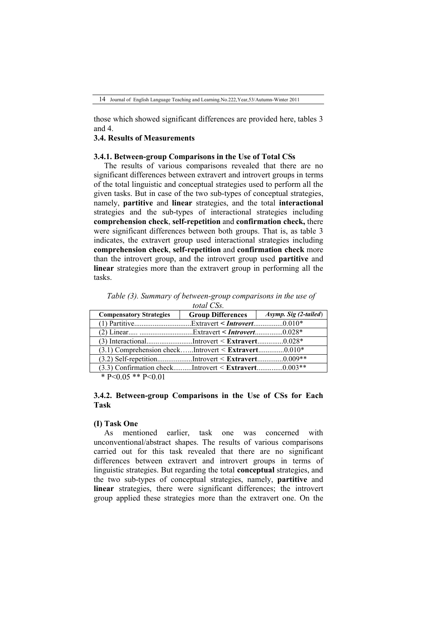those which showed significant differences are provided here, tables 3 and  $\Delta$ 

# **3.4. Results of Measurements**

### **3.4.1. Between-group Comparisons in the Use of Total CSs**

The results of various comparisons revealed that there are no significant differences between extravert and introvert groups in terms of the total linguistic and conceptual strategies used to perform all the given tasks. But in case of the two sub-types of conceptual strategies, namely, **partitive** and **linear** strategies, and the total **interactional**  strategies and the sub-types of interactional strategies including **comprehension check**, **self-repetition** and **confirmation check,** there were significant differences between both groups. That is, as table 3 indicates, the extravert group used interactional strategies including **comprehension check**, **self-repetition** and **confirmation check** more than the introvert group, and the introvert group used **partitive** and **linear** strategies more than the extravert group in performing all the tasks.

*Table (3). Summary of between-group comparisons in the use of total CSs.*

| <b>Compensatory Strategies</b>                         | <b>Group Differences</b> | Asymp. Sig (2-tailed) |
|--------------------------------------------------------|--------------------------|-----------------------|
|                                                        |                          |                       |
|                                                        |                          |                       |
|                                                        |                          |                       |
| $(3.1)$ Comprehension checkIntrovert < Extravert0.010* |                          |                       |
|                                                        |                          |                       |
| $(3.3)$ Confirmation checkIntrovert < Extravert0.003** |                          |                       |

\* P<0.05 \*\* P<0.01

# **3.4.2. Between-group Comparisons in the Use of CSs for Each Task**

### **(I) Task One**

As mentioned earlier, task one was concerned with unconventional/abstract shapes. The results of various comparisons carried out for this task revealed that there are no significant differences between extravert and introvert groups in terms of linguistic strategies. But regarding the total **conceptual** strategies, and the two sub-types of conceptual strategies, namely, **partitive** and **linear** strategies, there were significant differences; the introvert group applied these strategies more than the extravert one. On the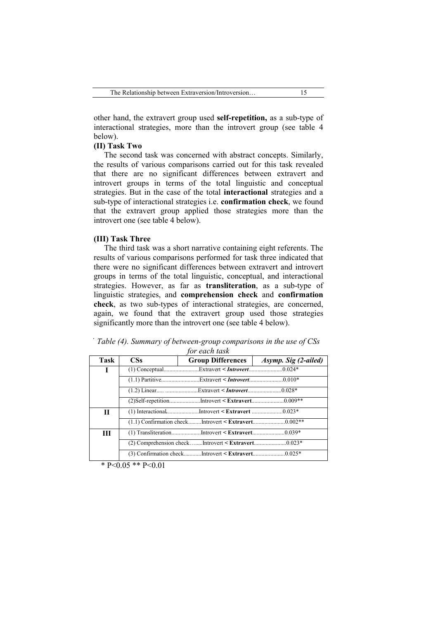other hand, the extravert group used **self-repetition,** as a sub-type of interactional strategies, more than the introvert group (see table 4 below).

# **(II) Task Two**

The second task was concerned with abstract concepts. Similarly, the results of various comparisons carried out for this task revealed that there are no significant differences between extravert and introvert groups in terms of the total linguistic and conceptual strategies. But in the case of the total **interactional** strategies and a sub-type of interactional strategies i.e. **confirmation check**, we found that the extravert group applied those strategies more than the introvert one (see table 4 below).

# **(III) Task Three**

The third task was a short narrative containing eight referents. The results of various comparisons performed for task three indicated that there were no significant differences between extravert and introvert groups in terms of the total linguistic, conceptual, and interactional strategies. However, as far as **transliteration**, as a sub-type of linguistic strategies, and **comprehension check** and **confirmation check**, as two sub-types of interactional strategies, are concerned, again, we found that the extravert group used those strategies significantly more than the introvert one (see table 4 below).

| Task | $\mathbf{CSs}$ | <b>Group Differences</b> | Asymp. Sig (2-ailed) |
|------|----------------|--------------------------|----------------------|
| I    |                |                          |                      |
|      |                |                          |                      |
|      |                |                          |                      |
|      |                |                          |                      |
| П    |                |                          |                      |
|      |                |                          |                      |
| Ш    |                |                          |                      |
|      |                |                          |                      |
|      |                |                          |                      |

*Table (4). Summary of between-group comparisons in the use of CSs for each task*

 $* P < 0.05 ** P < 0.01$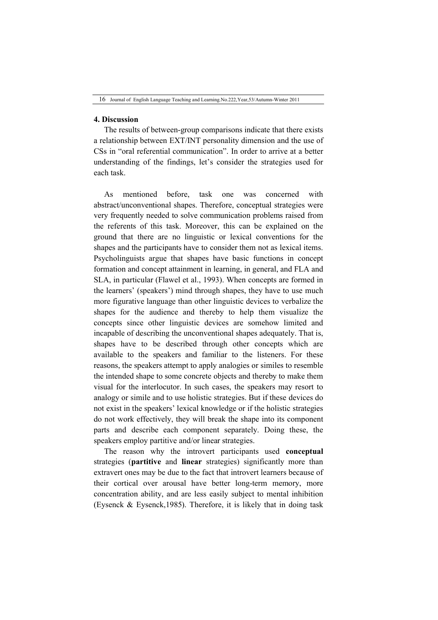### **4. Discussion**

The results of between-group comparisons indicate that there exists a relationship between EXT/INT personality dimension and the use of CSs in "oral referential communication". In order to arrive at a better understanding of the findings, let's consider the strategies used for each task.

As mentioned before, task one was concerned with abstract/unconventional shapes. Therefore, conceptual strategies were very frequently needed to solve communication problems raised from the referents of this task. Moreover, this can be explained on the ground that there are no linguistic or lexical conventions for the shapes and the participants have to consider them not as lexical items. Psycholinguists argue that shapes have basic functions in concept formation and concept attainment in learning, in general, and FLA and SLA, in particular (Flawel et al., 1993). When concepts are formed in the learners' (speakers') mind through shapes, they have to use much more figurative language than other linguistic devices to verbalize the shapes for the audience and thereby to help them visualize the concepts since other linguistic devices are somehow limited and incapable of describing the unconventional shapes adequately. That is, shapes have to be described through other concepts which are available to the speakers and familiar to the listeners. For these reasons, the speakers attempt to apply analogies or similes to resemble the intended shape to some concrete objects and thereby to make them visual for the interlocutor. In such cases, the speakers may resort to analogy or simile and to use holistic strategies. But if these devices do not exist in the speakers' lexical knowledge or if the holistic strategies do not work effectively, they will break the shape into its component parts and describe each component separately. Doing these, the speakers employ partitive and/or linear strategies.

The reason why the introvert participants used **conceptual** strategies (**partitive** and **linear** strategies) significantly more than extravert ones may be due to the fact that introvert learners because of their cortical over arousal have better long-term memory, more concentration ability, and are less easily subject to mental inhibition (Eysenck & Eysenck,1985). Therefore, it is likely that in doing task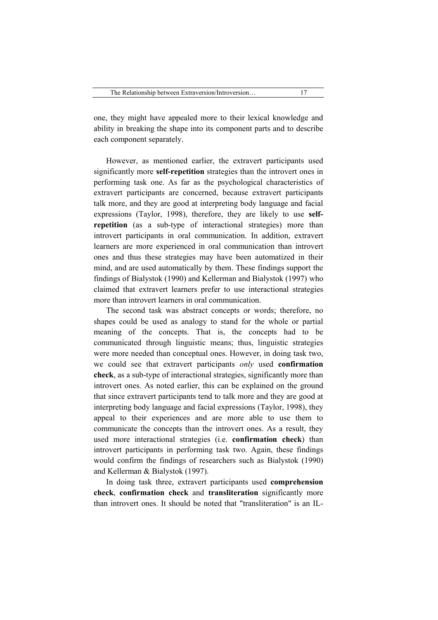one, they might have appealed more to their lexical knowledge and ability in breaking the shape into its component parts and to describe each component separately.

However, as mentioned earlier, the extravert participants used significantly more **self-repetition** strategies than the introvert ones in performing task one. As far as the psychological characteristics of extravert participants are concerned, because extravert participants talk more, and they are good at interpreting body language and facial expressions (Taylor, 1998), therefore, they are likely to use **selfrepetition** (as a sub-type of interactional strategies) more than introvert participants in oral communication. In addition, extravert learners are more experienced in oral communication than introvert ones and thus these strategies may have been automatized in their mind, and are used automatically by them. These findings support the findings of Bialystok (1990) and Kellerman and Bialystok (1997) who claimed that extravert learners prefer to use interactional strategies more than introvert learners in oral communication.

The second task was abstract concepts or words; therefore, no shapes could be used as analogy to stand for the whole or partial meaning of the concepts. That is, the concepts had to be communicated through linguistic means; thus, linguistic strategies were more needed than conceptual ones. However, in doing task two, we could see that extravert participants *only* used **confirmation check**, as a sub-type of interactional strategies, significantly more than introvert ones. As noted earlier, this can be explained on the ground that since extravert participants tend to talk more and they are good at interpreting body language and facial expressions (Taylor, 1998), they appeal to their experiences and are more able to use them to communicate the concepts than the introvert ones. As a result, they used more interactional strategies (i.e. **confirmation check**) than introvert participants in performing task two. Again, these findings would confirm the findings of researchers such as Bialystok (1990) and Kellerman & Bialystok (1997).

In doing task three, extravert participants used **comprehension check**, **confirmation check** and **transliteration** significantly more than introvert ones. It should be noted that "transliteration" is an IL-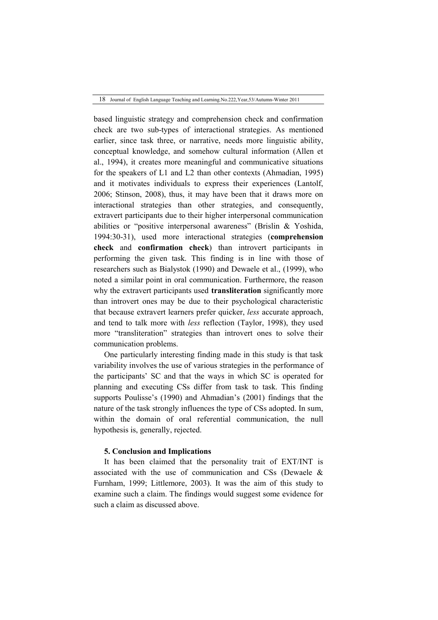based linguistic strategy and comprehension check and confirmation check are two sub-types of interactional strategies. As mentioned earlier, since task three, or narrative, needs more linguistic ability, conceptual knowledge, and somehow cultural information (Allen et al., 1994), it creates more meaningful and communicative situations for the speakers of L1 and L2 than other contexts (Ahmadian, 1995) and it motivates individuals to express their experiences (Lantolf, 2006; Stinson, 2008), thus, it may have been that it draws more on interactional strategies than other strategies, and consequently, extravert participants due to their higher interpersonal communication abilities or "positive interpersonal awareness" (Brislin & Yoshida, 1994:30-31), used more interactional strategies (**comprehension check** and **confirmation check**) than introvert participants in performing the given task. This finding is in line with those of researchers such as Bialystok (1990) and Dewaele et al., (1999), who noted a similar point in oral communication. Furthermore, the reason why the extravert participants used **transliteration** significantly more than introvert ones may be due to their psychological characteristic that because extravert learners prefer quicker, *less* accurate approach, and tend to talk more with *less* reflection (Taylor, 1998), they used more "transliteration" strategies than introvert ones to solve their communication problems.

One particularly interesting finding made in this study is that task variability involves the use of various strategies in the performance of the participants' SC and that the ways in which SC is operated for planning and executing CSs differ from task to task. This finding supports Poulisse's (1990) and Ahmadian's (2001) findings that the nature of the task strongly influences the type of CSs adopted. In sum, within the domain of oral referential communication, the null hypothesis is, generally, rejected.

#### **5. Conclusion and Implications**

It has been claimed that the personality trait of EXT/INT is associated with the use of communication and CSs (Dewaele & Furnham, 1999; Littlemore, 2003). It was the aim of this study to examine such a claim. The findings would suggest some evidence for such a claim as discussed above.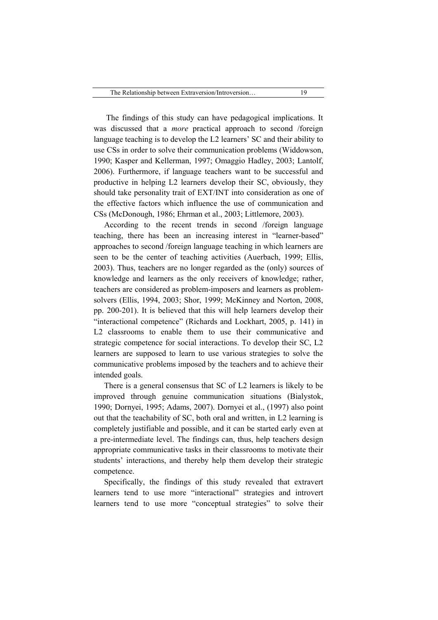The findings of this study can have pedagogical implications. It was discussed that a *more* practical approach to second /foreign language teaching is to develop the L2 learners' SC and their ability to use CSs in order to solve their communication problems (Widdowson, 1990; Kasper and Kellerman, 1997; Omaggio Hadley, 2003; Lantolf, 2006). Furthermore, if language teachers want to be successful and productive in helping L2 learners develop their SC, obviously, they should take personality trait of EXT/INT into consideration as one of the effective factors which influence the use of communication and CSs (McDonough, 1986; Ehrman et al., 2003; Littlemore, 2003).

According to the recent trends in second /foreign language teaching, there has been an increasing interest in "learner-based" approaches to second /foreign language teaching in which learners are seen to be the center of teaching activities (Auerbach, 1999; Ellis, 2003). Thus, teachers are no longer regarded as the (only) sources of knowledge and learners as the only receivers of knowledge; rather, teachers are considered as problem-imposers and learners as problemsolvers (Ellis, 1994, 2003; Shor, 1999; McKinney and Norton, 2008, pp. 200-201). It is believed that this will help learners develop their "interactional competence" (Richards and Lockhart, 2005, p. 141) in L<sub>2</sub> classrooms to enable them to use their communicative and strategic competence for social interactions. To develop their SC, L2 learners are supposed to learn to use various strategies to solve the communicative problems imposed by the teachers and to achieve their intended goals.

There is a general consensus that SC of L2 learners is likely to be improved through genuine communication situations (Bialystok, 1990; Dornyei, 1995; Adams, 2007). Dornyei et al., (1997) also point out that the teachability of SC, both oral and written, in L2 learning is completely justifiable and possible, and it can be started early even at a pre-intermediate level. The findings can, thus, help teachers design appropriate communicative tasks in their classrooms to motivate their students' interactions, and thereby help them develop their strategic competence.

Specifically, the findings of this study revealed that extravert learners tend to use more "interactional" strategies and introvert learners tend to use more "conceptual strategies" to solve their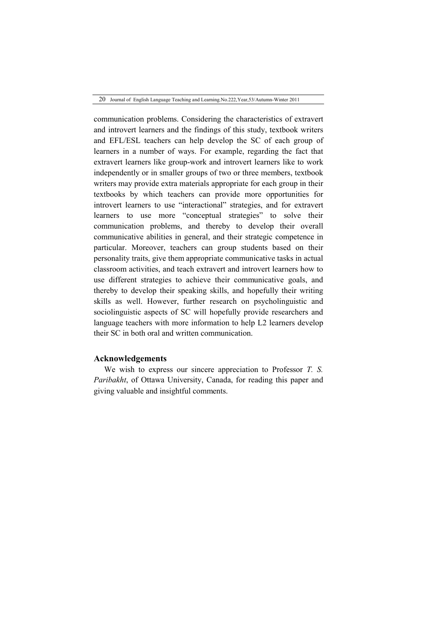communication problems. Considering the characteristics of extravert and introvert learners and the findings of this study, textbook writers and EFL/ESL teachers can help develop the SC of each group of learners in a number of ways. For example, regarding the fact that extravert learners like group-work and introvert learners like to work independently or in smaller groups of two or three members, textbook writers may provide extra materials appropriate for each group in their textbooks by which teachers can provide more opportunities for introvert learners to use "interactional" strategies, and for extravert learners to use more "conceptual strategies" to solve their communication problems, and thereby to develop their overall communicative abilities in general, and their strategic competence in particular. Moreover, teachers can group students based on their personality traits, give them appropriate communicative tasks in actual classroom activities, and teach extravert and introvert learners how to use different strategies to achieve their communicative goals, and thereby to develop their speaking skills, and hopefully their writing skills as well. However, further research on psycholinguistic and sociolinguistic aspects of SC will hopefully provide researchers and language teachers with more information to help L2 learners develop their SC in both oral and written communication.

# **Acknowledgements**

We wish to express our sincere appreciation to Professor *T. S. Paribakht*, of Ottawa University, Canada, for reading this paper and giving valuable and insightful comments.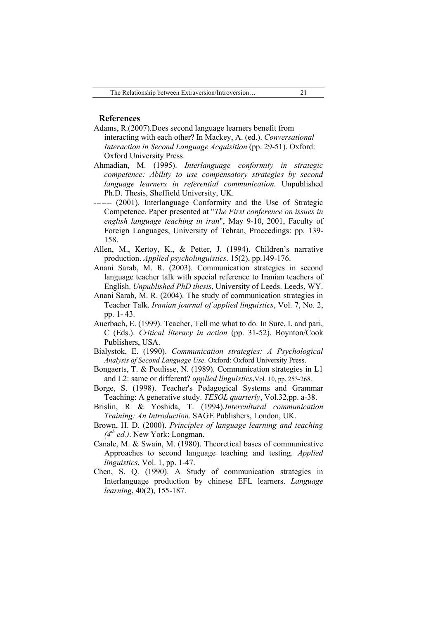### **References**

- Adams, R.(2007).Does second language learners benefit from interacting with each other? In Mackey, A. (ed.). *Conversational Interaction in Second Language Acquisition* (pp. 29-51). Oxford: Oxford University Press.
- Ahmadian, M. (1995). *Interlanguage conformity in strategic competence: Ability to use compensatory strategies by second language learners in referential communication.* Unpublished Ph.D. Thesis, Sheffield University, UK.
- ------- (2001). Interlanguage Conformity and the Use of Strategic Competence. Paper presented at "*The First conference on issues in english language teaching in iran*", May 9-10, 2001, Faculty of Foreign Languages, University of Tehran, Proceedings: pp. 139- 158.
- Allen, M., Kertoy, K., & Petter, J. (1994). Children's narrative production. *Applied psycholinguistics*. 15(2), pp.149-176.
- Anani Sarab, M. R. (2003). Communication strategies in second language teacher talk with special reference to Iranian teachers of English. *Unpublished PhD thesis*, University of Leeds. Leeds, WY.
- Anani Sarab, M. R. (2004). The study of communication strategies in Teacher Talk. *Iranian journal of applied linguistics*, Vol. 7, No. 2, pp. 1- 43.
- Auerbach, E. (1999). Teacher, Tell me what to do. In Sure, I. and pari, C (Eds.). *Critical literacy in action* (pp. 31-52). Boynton/Cook Publishers, USA.
- Bialystok, E. (1990). *Communication strategies: A Psychological Analysis of Second Language Use.* Oxford: Oxford University Press.
- Bongaerts, T. & Poulisse, N. (1989). Communication strategies in L1 and L2: same or different? *applied linguistics*,Vol. 10, pp. 253-268.
- Borge, S. (1998). Teacher's Pedagogical Systems and Grammar Teaching: A generative study. *TESOL quarterly*, Vol.32,pp. a-38.
- Brislin, R & Yoshida, T. (1994).*Intercultural communication Training: An Introduction.* SAGE Publishers, London, UK.
- Brown, H. D. (2000). *Principles of language learning and teaching*   $(4<sup>th</sup>$  *ed.*). New York: Longman.
- Canale, M. & Swain, M. (1980). Theoretical bases of communicative Approaches to second language teaching and testing. *Applied linguistics*, Vol. 1, pp. 1-47.
- Chen, S. Q. (1990). A Study of communication strategies in Interlanguage production by chinese EFL learners. *Language learning*, 40(2), 155-187.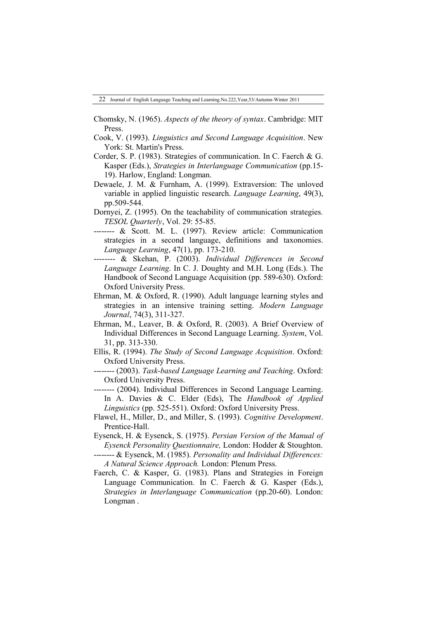- Chomsky, N. (1965). *Aspects of the theory of syntax*. Cambridge: MIT Press.
- Cook, V. (1993). *Linguistics and Second Language Acquisition*. New York: St. Martin's Press.
- Corder, S. P. (1983). Strategies of communication. In C. Faerch & G. Kasper (Eds.), *Strategies in Interlanguage Communication* (pp.15- 19). Harlow, England: Longman.
- Dewaele, J. M. & Furnham, A. (1999). Extraversion: The unloved variable in applied linguistic research. *Language Learning*, 49(3), pp.509-544.
- Dornyei, Z. (1995). On the teachability of communication strategies*. TESOL Quarterly*, Vol. 29: 55-85.
- -------- & Scott. M. L. (1997). Review article: Communication strategies in a second language, definitions and taxonomies. *Language Learning*, 47(1), pp. 173-210.
- -------- & Skehan, P. (2003). *Individual Differences in Second Language Learning*. In C. J. Doughty and M.H. Long (Eds.). The Handbook of Second Language Acquisition (pp. 589-630). Oxford: Oxford University Press.
- Ehrman, M. & Oxford, R. (1990). Adult language learning styles and strategies in an intensive training setting. *Modern Language Journal*, 74(3), 311-327.
- Ehrman, M., Leaver, B. & Oxford, R. (2003). A Brief Overview of Individual Differences in Second Language Learning. *System*, Vol. 31, pp. 313-330.
- Ellis, R. (1994). *The Study of Second Language Acquisition*. Oxford: Oxford University Press.
- -------- (2003). *Task-based Language Learning and Teaching*. Oxford: Oxford University Press.
- -------- (2004). Individual Differences in Second Language Learning. In A. Davies & C. Elder (Eds), The *Handbook of Applied Linguistics* (pp. 525-551). Oxford: Oxford University Press.
- Flawel, H., Miller, D., and Miller, S. (1993). *Cognitive Development*. Prentice-Hall.

Eysenck, H. & Eysenck, S. (1975). *Persian Version of the Manual of Eysenck Personality Questionnaire,* London: Hodder & Stoughton.

- -------- & Eysenck, M. (1985). *Personality and Individual Differences: A Natural Science Approach.* London: Plenum Press.
- Faerch, C. & Kasper, G. (1983). Plans and Strategies in Foreign Language Communication. In C. Faerch & G. Kasper (Eds.), *Strategies in Interlanguage Communication* (pp.20-60). London: Longman .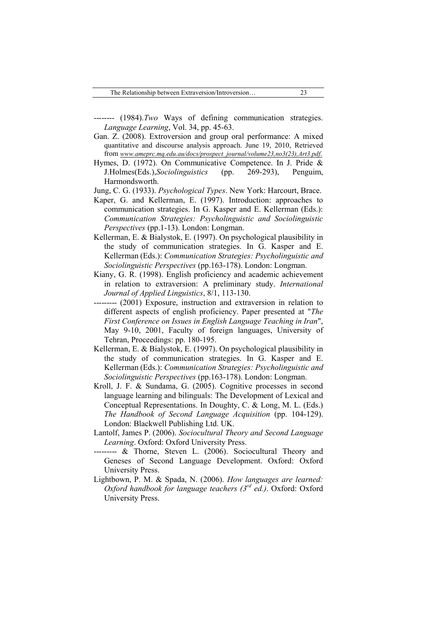- -------- (1984).*Two* Ways of defining communication strategies. *Language Learning*, Vol. 34, pp. 45-63.
- Gan. Z. (2008). Extroversion and group oral performance: A mixed quantitative and discourse analysis approach. June 19, 2010, Retrieved from *www.ameprc.mq.edu.au/docs/prospect\_journal/volume23,no3(23),Art3.pdf.*
- Hymes, D. (1972). On Communicative Competence. In J. Pride & J.Holmes(Eds.),*Sociolinguistics* (pp. 269-293), Penguim, Harmondsworth.
- Jung, C. G. (1933). *Psychological Types*. New York: Harcourt, Brace.
- Kaper, G. and Kellerman, E. (1997). Introduction: approaches to communication strategies. In G. Kasper and E. Kellerman (Eds.): *Communication Strategies: Psycholinguistic and Sociolinguistic Perspectives* (pp.1-13). London: Longman.
- Kellerman, E. & Bialystok, E. (1997). On psychological plausibility in the study of communication strategies. In G. Kasper and E. Kellerman (Eds.): *Communication Strategies: Psycholinguistic and Sociolinguistic Perspectives* (pp.163-178). London: Longman.
- Kiany, G. R. (1998). English proficiency and academic achievement in relation to extraversion: A preliminary study. *International Journal of Applied Linguistics*, 8/1, 113-130.
- --------- (2001) Exposure, instruction and extraversion in relation to different aspects of english proficiency. Paper presented at "*The First Conference on Issues in English Language Teaching in Iran*", May 9-10, 2001, Faculty of foreign languages, University of Tehran, Proceedings: pp. 180-195.
- Kellerman, E. & Bialystok, E. (1997). On psychological plausibility in the study of communication strategies. In G. Kasper and E. Kellerman (Eds.): *Communication Strategies: Psycholinguistic and Sociolinguistic Perspectives* (pp.163-178). London: Longman.
- Kroll, J. F. & Sundama, G. (2005). Cognitive processes in second language learning and bilinguals: The Development of Lexical and Conceptual Representations. In Doughty, C. & Long, M. L. (Eds.) *The Handbook of Second Language Acquisition* (pp. 104-129). London: Blackwell Publishing Ltd. UK.
- Lantolf, James P. (2006). *Sociocultural Theory and Second Language Learning*. Oxford: Oxford University Press.
- --------- & Thorne, Steven L. (2006). Sociocultural Theory and Geneses of Second Language Development. Oxford: Oxford University Press.
- Lightbown, P. M. & Spada, N. (2006). *How languages are learned: Oxford handbook for language teachers (3rd ed.)*. Oxford: Oxford University Press.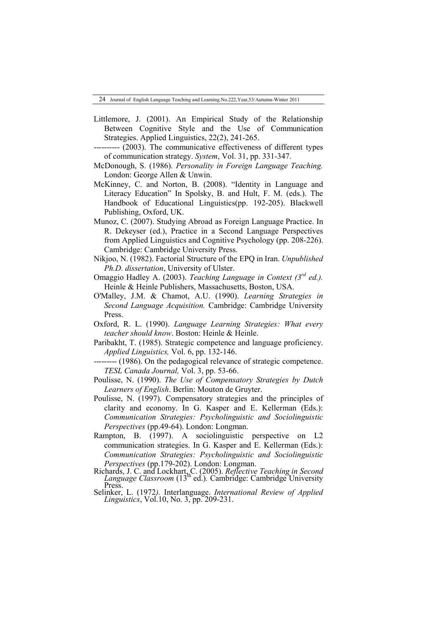- Littlemore, J. (2001). An Empirical Study of the Relationship Between Cognitive Style and the Use of Communication Strategies. Applied Linguistics, 22(2), 241-265.
- -- (2003). The communicative effectiveness of different types of communication strategy. *System*, Vol. 31, pp. 331-347.
- McDonough, S. (1986). *Personality in Foreign Language Teaching.* London: George Allen & Unwin.
- McKinney, C. and Norton, B. (2008). "Identity in Language and Literacy Education" In Spolsky, B. and Hult, F. M. (eds.). The Handbook of Educational Linguistics(pp. 192-205). Blackwell Publishing, Oxford, UK.
- Munoz, C. (2007). Studying Abroad as Foreign Language Practice. In R. Dekeyser (ed.), Practice in a Second Language Perspectives from Applied Linguistics and Cognitive Psychology (pp. 208-226). Cambridge: Cambridge University Press.
- Nikjoo, N. (1982). Factorial Structure of the EPQ in Iran. *Unpublished Ph.D. dissertation*, University of Ulster.
- Omaggio Hadley A. (2003). *Teaching Language in Context (3rd ed.).* Heinle & Heinle Publishers, Massachusetts, Boston, USA.
- O'Malley, J.M. & Chamot, A.U. (1990). *Learning Strategies in Second Language Acquisition.* Cambridge: Cambridge University Press.
- Oxford, R. L. (1990). *Language Learning Strategies: What every teacher should know*. Boston: Heinle & Heinle.
- Paribakht, T. (1985). Strategic competence and language proficiency. *Applied Linguistics,* Vol. 6, pp. 132-146.
- --------- (1986). On the pedagogical relevance of strategic competence. *TESL Canada Journal,* Vol. 3, pp. 53-66.
- Poulisse, N. (1990). *The Use of Compensatory Strategies by Dutch Learners of English*. Berlin: Mouton de Gruyter.
- Poulisse, N. (1997). Compensatory strategies and the principles of clarity and economy. In G. Kasper and E. Kellerman (Eds.): *Communication Strategies: Psycholinguistic and Sociolinguistic Perspectives* (pp.49-64). London: Longman.
- Rampton, B. (1997). A sociolinguistic perspective on L2 communication strategies. In G. Kasper and E. Kellerman (Eds.): *Communication Strategies: Psycholinguistic and Sociolinguistic Perspectives* (pp.179-202). London: Longman.
- Richards, J. C. and Lockhart, C. (2005). *Reflective Teaching in Second Language Classroom* (13<sup>th</sup> ed.). Cambridge: Cambridge University Press.
- Selinker, L. (1972*).* Interlanguage. *International Review of Applied Linguistics*, Vol.10, No. 3, pp. 209-231.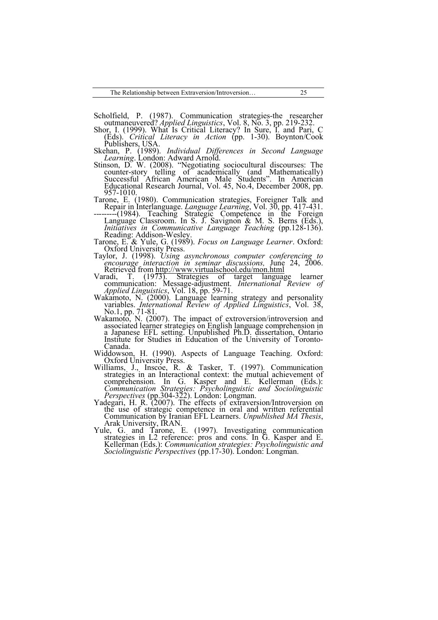Scholfield, P. (1987). Communication strategies-the researcher<br>outmaneuvered? Applied Linguistics, Vol. 8, No. 3, pp. 219-232.<br>Shor, I. (1999). What Is Critical Literacy? In Sure, I. and Pari, C<br>(Eds). Critical Literacy in

Stinson, D. W. (2008). "Negotiating sociocultural discourses: The counter-story telling of academically (and Mathematically) Successful African American Male Students". In American Educational Research Journal, Vol. 45, No.4, December 2008, pp. 957-1010.

Tarone, E. (1980). Communication strategies, Foreigner Talk and<br>Repair in Interlanguage. *Language Learning*, Vol. 30, pp. 417-431.<br>--------(1984). Teaching Strategic Competence in the Foreign<br>Language Classroom. In S. J. *Initiatives in Communicative Language Teaching* (pp.128-136). Reading: Addison-Wesley. Tarone, E. & Yule, G. (1989). *Focus on Language Learner*. Oxford:

- Oxford University Press.<br>
Taylor, J. (1998). Using asynchronous computer conferencing to<br>
encourage interaction in seminar discussions, June 24, 2006.<br>
Retrieved from http://www.virtualschool.edu/mon.html<br>
Varadi, T. (1973
- 
- 
- No.1, pp. 71-81. Wakamoto, N. (2007). The impact of extroversion/introversion and associated learner strategies on English language comprehension in a Japanese EFL setting. Unpublished Ph.D. dissertation, Ontario Institute for Studies in Education of the University of Toronto-
- Canada.<br>Widdowson, H. (1990). Aspects of Language Teaching. Oxford:
- Oxford University Press.<br>Williams, J., Inscoe, R. & Tasker, T. (1997). Communication strategies in an Interactional context: the mutual achievement of comprehension. In G. Kasper and E. Kellerman (Eds.): *Communication Strategies: Psycholinguistic and Sociolinguistic*
- *Perspectives* (pp.304-322). London: Longman.<br>Yadegari, H. R. (2007). The effects of extraversion/Introversion on the use of strategic competence in oral and written referential Communication by Iranian EFL Learners. *Unpublished MA Thesis*, Arak University, IRAN. Yule, G. and Tarone, E. (1997). Investigating communication strategies in L2 reference: pros and cons. In G. Kasper and E.
- Kellerman (Eds.): *Communication strategies: Psycholinguistic and Sociolinguistic Perspectives* (pp.17-30). London: Longman.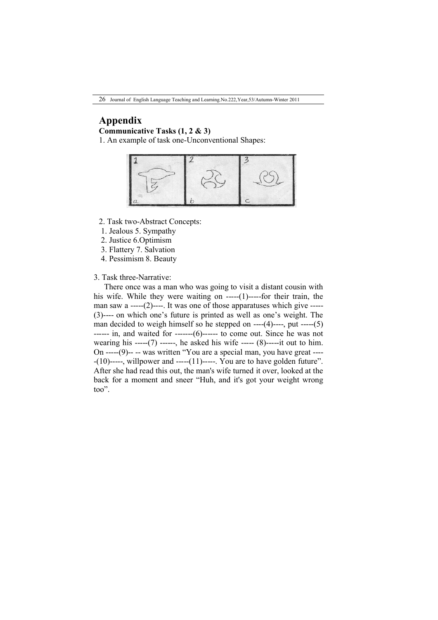26 Journal of English Language Teaching and Learning.No.222,Year,53/Autumn-Winter 2011

# **Appendix**

**Communicative Tasks (1, 2 & 3)**

1. An example of task one-Unconventional Shapes:



- 2. Task two-Abstract Concepts:
- 1. Jealous 5. Sympathy
- 2. Justice 6.Optimism
- 3. Flattery 7. Salvation
- 4. Pessimism 8. Beauty
- 3. Task three-Narrative:

There once was a man who was going to visit a distant cousin with his wife. While they were waiting on -----(1)-----for their train, the man saw a -----(2)----. It was one of those apparatuses which give -----(3)---- on which one's future is printed as well as one's weight. The man decided to weigh himself so he stepped on ----(4)----, put -----(5) ------ in, and waited for -------(6)------ to come out. Since he was not wearing his -----(7) ------, he asked his wife -----  $(8)$ -----it out to him. On -----(9)-- -- was written "You are a special man, you have great ----  $-(10)$ -----, willpower and ---- $(11)$ -----. You are to have golden future". After she had read this out, the man's wife turned it over, looked at the back for a moment and sneer "Huh, and it's got your weight wrong too".